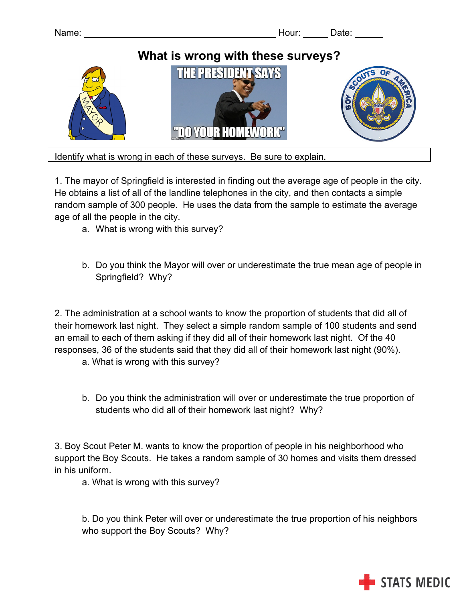

Identify what is wrong in each of these surveys. Be sure to explain.

1. The mayor of Springfield is interested in finding out the average age of people in the city. He obtains a list of all of the landline telephones in the city, and then contacts a simple random sample of 300 people. He uses the data from the sample to estimate the average age of all the people in the city.

- a. What is wrong with this survey?
- b. Do you think the Mayor will over or underestimate the true mean age of people in Springfield? Why?

2. The administration at a school wants to know the proportion of students that did all of their homework last night. They select a simple random sample of 100 students and send an email to each of them asking if they did all of their homework last night. Of the 40 responses, 36 of the students said that they did all of their homework last night (90%).

a. What is wrong with this survey?

b. Do you think the administration will over or underestimate the true proportion of students who did all of their homework last night? Why?

3. Boy Scout Peter M. wants to know the proportion of people in his neighborhood who support the Boy Scouts. He takes a random sample of 30 homes and visits them dressed in his uniform.

a. What is wrong with this survey?

b. Do you think Peter will over or underestimate the true proportion of his neighbors who support the Boy Scouts? Why?